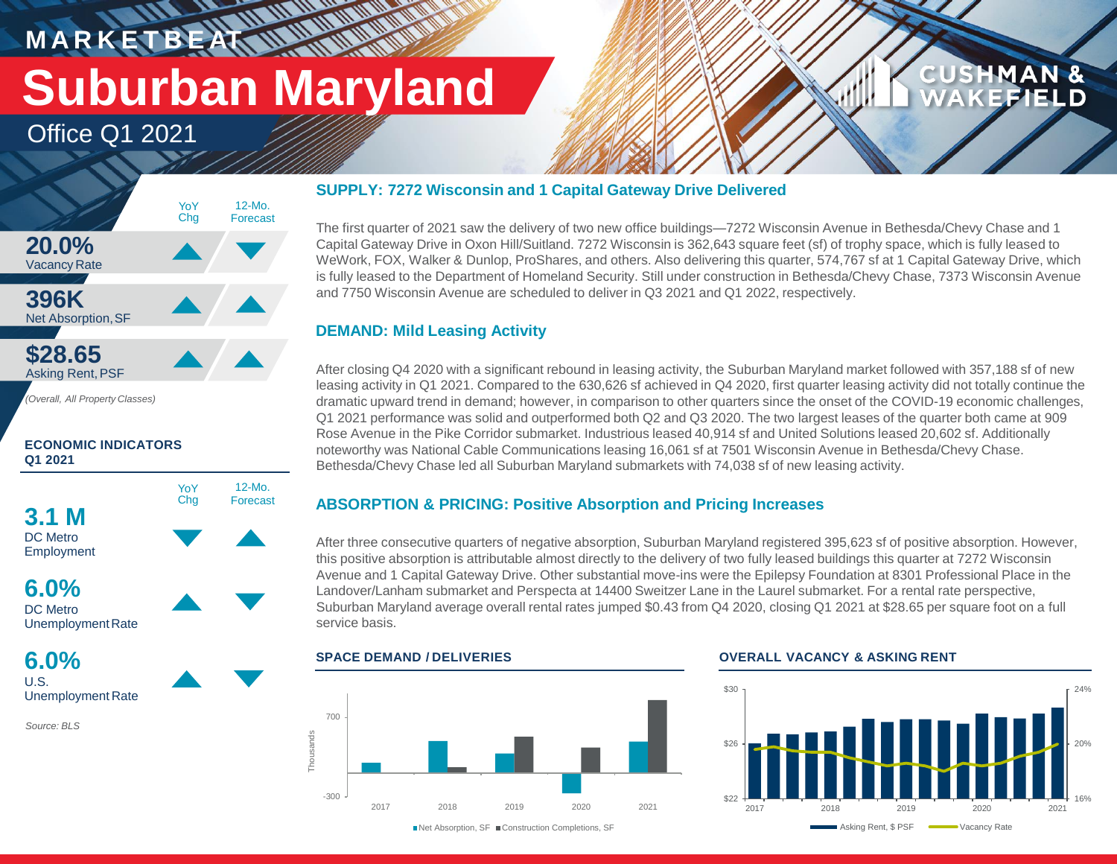# **M A R K E T B E AT Suburban Maryland**

**WALLER** 

12-Mo. Forecast

Office Q1 2021



#### **ECONOMIC INDICATORS Q1 2021**





**6.0%** U.S. Unemployment Rate

*Source: BLS*

#### **SUPPLY: 7272 Wisconsin and 1 Capital Gateway Drive Delivered**

The first quarter of 2021 saw the delivery of two new office buildings—7272 Wisconsin Avenue in Bethesda/Chevy Chase and 1 Capital Gateway Drive in Oxon Hill/Suitland. 7272 Wisconsin is 362,643 square feet (sf) of trophy space, which is fully leased to WeWork, FOX, Walker & Dunlop, ProShares, and others. Also delivering this quarter, 574,767 sf at 1 Capital Gateway Drive, which is fully leased to the Department of Homeland Security. Still under construction in Bethesda/Chevy Chase, 7373 Wisconsin Avenue and 7750 Wisconsin Avenue are scheduled to deliver in Q3 2021 and Q1 2022, respectively.

#### **DEMAND: Mild Leasing Activity**

After closing Q4 2020 with a significant rebound in leasing activity, the Suburban Maryland market followed with 357,188 sf of new leasing activity in Q1 2021. Compared to the 630,626 sf achieved in Q4 2020, first quarter leasing activity did not totally continue the dramatic upward trend in demand; however, in comparison to other quarters since the onset of the COVID-19 economic challenges, Q1 2021 performance was solid and outperformed both Q2 and Q3 2020. The two largest leases of the quarter both came at 909 Rose Avenue in the Pike Corridor submarket. Industrious leased 40,914 sf and United Solutions leased 20,602 sf. Additionally noteworthy was National Cable Communications leasing 16,061 sf at 7501 Wisconsin Avenue in Bethesda/Chevy Chase. Bethesda/Chevy Chase led all Suburban Maryland submarkets with 74,038 sf of new leasing activity.

### **ABSORPTION & PRICING: Positive Absorption and Pricing Increases**

After three consecutive quarters of negative absorption, Suburban Maryland registered 395,623 sf of positive absorption. However, this positive absorption is attributable almost directly to the delivery of two fully leased buildings this quarter at 7272 Wisconsin Avenue and 1 Capital Gateway Drive. Other substantial move-ins were the Epilepsy Foundation at 8301 Professional Place in the Landover/Lanham submarket and Perspecta at 14400 Sweitzer Lane in the Laurel submarket. For a rental rate perspective, Suburban Maryland average overall rental rates jumped \$0.43 from Q4 2020, closing Q1 2021 at \$28.65 per square foot on a full service basis.

#### **SPACE DEMAND / DELIVERIES OVERALL VACANCY & ASKING RENT**



#### \$30



**CUSHMAN &** 

FEIEI D

■Net Absorption, SF ■ Construction Completions, SF